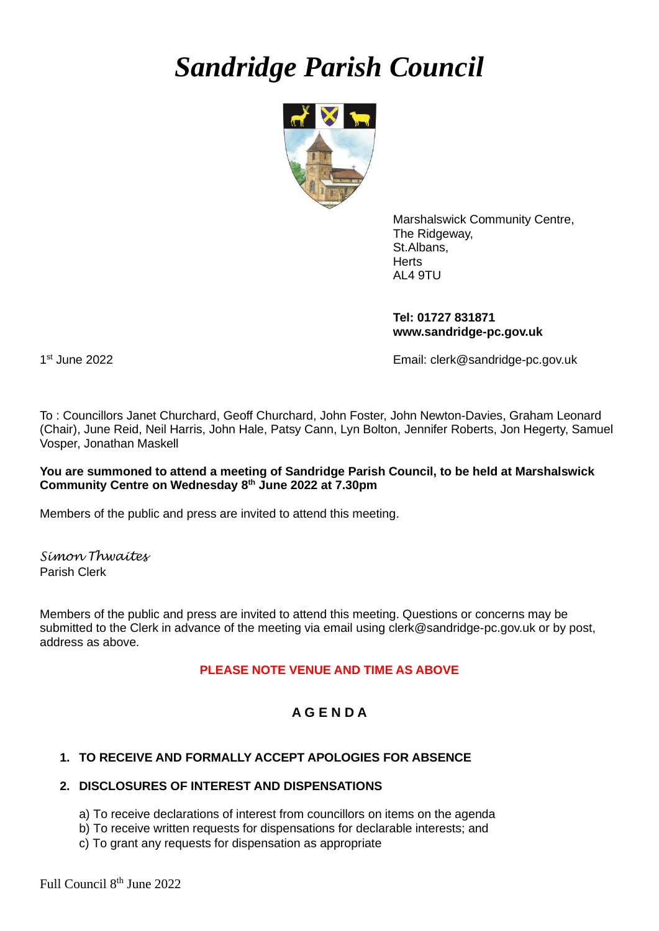# *Sandridge Parish Council*



Marshalswick Community Centre, The Ridgeway, St.Albans, **Herts** AL4 9TU

**Tel: 01727 831871 www.sandridge-pc.gov.uk**

1<sup>st</sup> June 2022

Email: clerk@sandridge-pc.gov.uk

To : Councillors Janet Churchard, Geoff Churchard, John Foster, John Newton-Davies, Graham Leonard (Chair), June Reid, Neil Harris, John Hale, Patsy Cann, Lyn Bolton, Jennifer Roberts, Jon Hegerty, Samuel Vosper, Jonathan Maskell

# **You are summoned to attend a meeting of Sandridge Parish Council, to be held at Marshalswick Community Centre on Wednesday 8 th June 2022 at 7.30pm**

Members of the public and press are invited to attend this meeting.

*Simon Thwaites* Parish Clerk

Members of the public and press are invited to attend this meeting. Questions or concerns may be submitted to the Clerk in advance of the meeting via email using clerk@sandridge-pc.gov.uk or by post, address as above.

# **PLEASE NOTE VENUE AND TIME AS ABOVE**

# **A G E N D A**

# **1. TO RECEIVE AND FORMALLY ACCEPT APOLOGIES FOR ABSENCE**

# **2. DISCLOSURES OF INTEREST AND DISPENSATIONS**

- a) To receive declarations of interest from councillors on items on the agenda
- b) To receive written requests for dispensations for declarable interests; and
- c) To grant any requests for dispensation as appropriate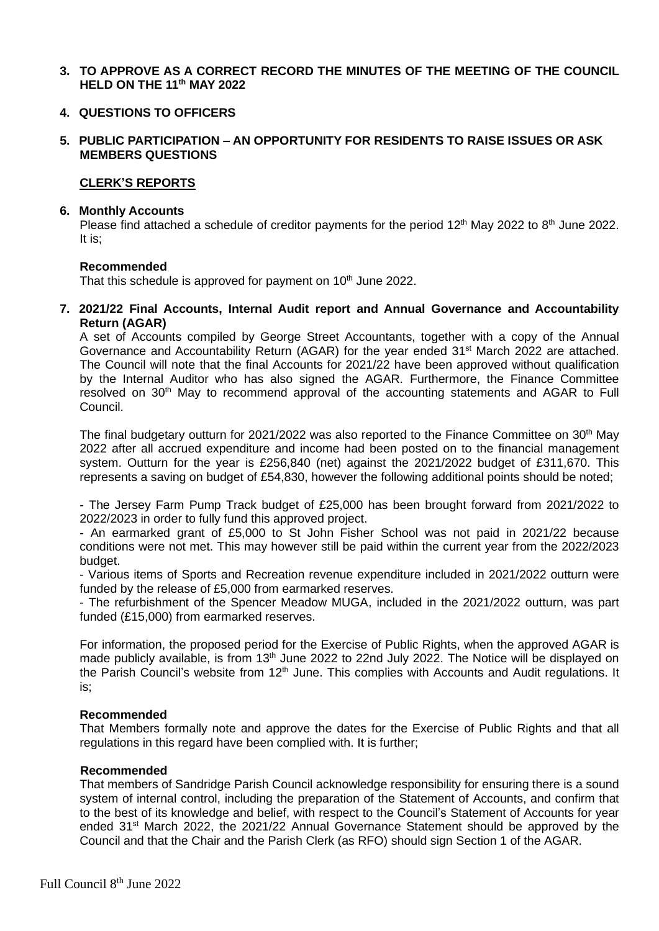**3. TO APPROVE AS A CORRECT RECORD THE MINUTES OF THE MEETING OF THE COUNCIL HELD ON THE 11th MAY 2022**

#### **4. QUESTIONS TO OFFICERS**

#### **5. PUBLIC PARTICIPATION – AN OPPORTUNITY FOR RESIDENTS TO RAISE ISSUES OR ASK MEMBERS QUESTIONS**

#### **CLERK'S REPORTS**

#### **6. Monthly Accounts**

Please find attached a schedule of creditor payments for the period 12<sup>th</sup> May 2022 to 8<sup>th</sup> June 2022. It is;

#### **Recommended**

That this schedule is approved for payment on 10<sup>th</sup> June 2022.

**7. 2021/22 Final Accounts, Internal Audit report and Annual Governance and Accountability Return (AGAR)**

A set of Accounts compiled by George Street Accountants, together with a copy of the Annual Governance and Accountability Return (AGAR) for the year ended 31st March 2022 are attached. The Council will note that the final Accounts for 2021/22 have been approved without qualification by the Internal Auditor who has also signed the AGAR. Furthermore, the Finance Committee resolved on 30<sup>th</sup> May to recommend approval of the accounting statements and AGAR to Full Council.

The final budgetary outturn for 2021/2022 was also reported to the Finance Committee on 30<sup>th</sup> May 2022 after all accrued expenditure and income had been posted on to the financial management system. Outturn for the year is £256,840 (net) against the 2021/2022 budget of £311,670. This represents a saving on budget of £54,830, however the following additional points should be noted;

- The Jersey Farm Pump Track budget of £25,000 has been brought forward from 2021/2022 to 2022/2023 in order to fully fund this approved project.

- An earmarked grant of £5,000 to St John Fisher School was not paid in 2021/22 because conditions were not met. This may however still be paid within the current year from the 2022/2023 budget.

- Various items of Sports and Recreation revenue expenditure included in 2021/2022 outturn were funded by the release of £5,000 from earmarked reserves.

- The refurbishment of the Spencer Meadow MUGA, included in the 2021/2022 outturn, was part funded (£15,000) from earmarked reserves.

For information, the proposed period for the Exercise of Public Rights, when the approved AGAR is made publicly available, is from 13<sup>th</sup> June 2022 to 22nd July 2022. The Notice will be displayed on the Parish Council's website from 12<sup>th</sup> June. This complies with Accounts and Audit regulations. It is;

#### **Recommended**

That Members formally note and approve the dates for the Exercise of Public Rights and that all regulations in this regard have been complied with. It is further;

#### **Recommended**

That members of Sandridge Parish Council acknowledge responsibility for ensuring there is a sound system of internal control, including the preparation of the Statement of Accounts, and confirm that to the best of its knowledge and belief, with respect to the Council's Statement of Accounts for year ended 31<sup>st</sup> March 2022, the 2021/22 Annual Governance Statement should be approved by the Council and that the Chair and the Parish Clerk (as RFO) should sign Section 1 of the AGAR.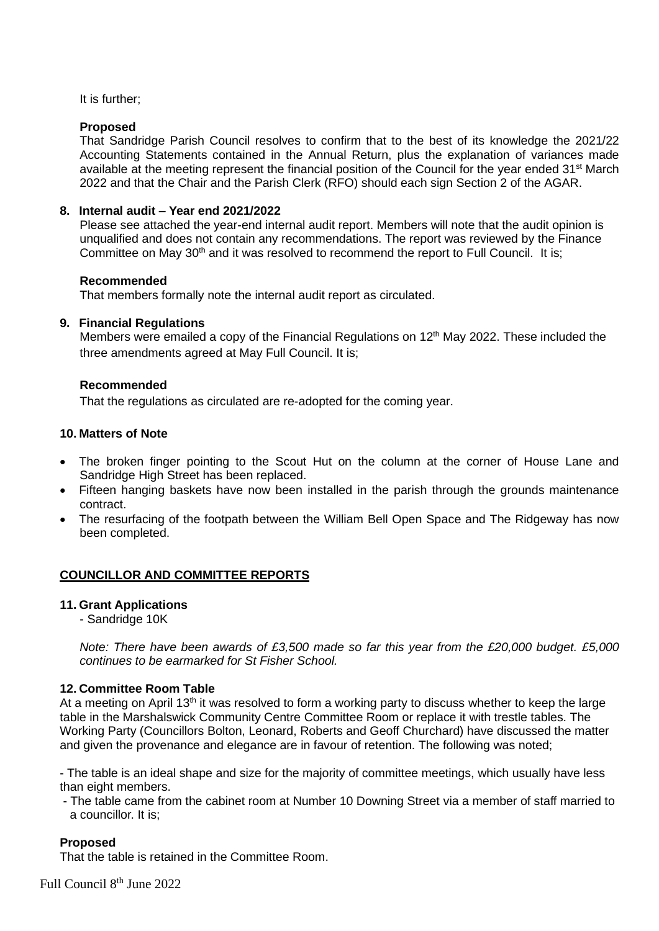# It is further;

# **Proposed**

That Sandridge Parish Council resolves to confirm that to the best of its knowledge the 2021/22 Accounting Statements contained in the Annual Return, plus the explanation of variances made available at the meeting represent the financial position of the Council for the year ended 31<sup>st</sup> March 2022 and that the Chair and the Parish Clerk (RFO) should each sign Section 2 of the AGAR.

# **8. Internal audit – Year end 2021/2022**

Please see attached the year-end internal audit report. Members will note that the audit opinion is unqualified and does not contain any recommendations. The report was reviewed by the Finance Committee on May 30<sup>th</sup> and it was resolved to recommend the report to Full Council. It is;

# **Recommended**

That members formally note the internal audit report as circulated.

# **9. Financial Regulations**

Members were emailed a copy of the Financial Regulations on 12<sup>th</sup> May 2022. These included the three amendments agreed at May Full Council. It is;

# **Recommended**

That the regulations as circulated are re-adopted for the coming year.

# **10. Matters of Note**

- The broken finger pointing to the Scout Hut on the column at the corner of House Lane and Sandridge High Street has been replaced.
- Fifteen hanging baskets have now been installed in the parish through the grounds maintenance contract.
- The resurfacing of the footpath between the William Bell Open Space and The Ridgeway has now been completed.

# **COUNCILLOR AND COMMITTEE REPORTS**

# **11. Grant Applications**

- Sandridge 10K

*Note: There have been awards of £3,500 made so far this year from the £20,000 budget. £5,000 continues to be earmarked for St Fisher School.*

# **12. Committee Room Table**

At a meeting on April 13<sup>th</sup> it was resolved to form a working party to discuss whether to keep the large table in the Marshalswick Community Centre Committee Room or replace it with trestle tables. The Working Party (Councillors Bolton, Leonard, Roberts and Geoff Churchard) have discussed the matter and given the provenance and elegance are in favour of retention. The following was noted;

- The table is an ideal shape and size for the majority of committee meetings, which usually have less than eight members.

- The table came from the cabinet room at Number 10 Downing Street via a member of staff married to a councillor. It is;

# **Proposed**

That the table is retained in the Committee Room.